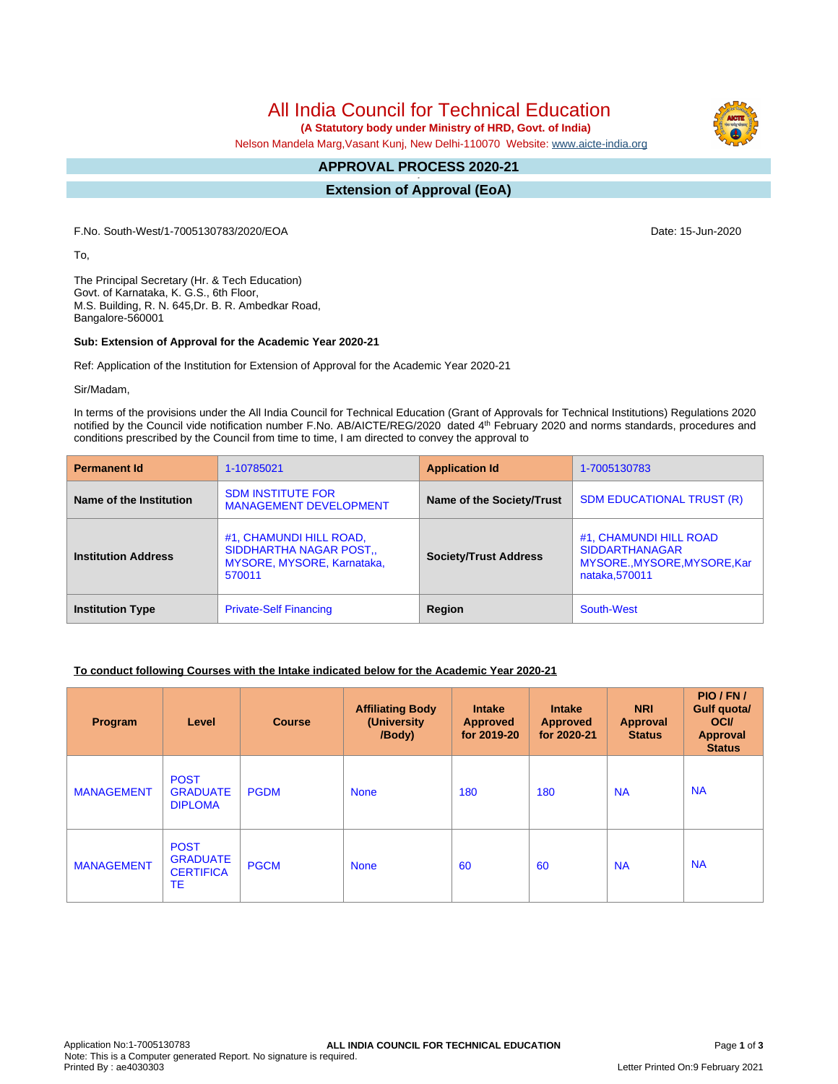All India Council for Technical Education

 **(A Statutory body under Ministry of HRD, Govt. of India)**

Nelson Mandela Marg,Vasant Kunj, New Delhi-110070 Website: [www.aicte-india.org](http://www.aicte-india.org)

#### **APPROVAL PROCESS 2020-21 -**

**Extension of Approval (EoA)**

F.No. South-West/1-7005130783/2020/EOA Date: 15-Jun-2020

To,

The Principal Secretary (Hr. & Tech Education) Govt. of Karnataka, K. G.S., 6th Floor, M.S. Building, R. N. 645,Dr. B. R. Ambedkar Road, Bangalore-560001

#### **Sub: Extension of Approval for the Academic Year 2020-21**

Ref: Application of the Institution for Extension of Approval for the Academic Year 2020-21

Sir/Madam,

In terms of the provisions under the All India Council for Technical Education (Grant of Approvals for Technical Institutions) Regulations 2020 notified by the Council vide notification number F.No. AB/AICTE/REG/2020 dated 4<sup>th</sup> February 2020 and norms standards, procedures and conditions prescribed by the Council from time to time, I am directed to convey the approval to

| <b>Permanent Id</b>        | 1-10785021                                                                                        | <b>Application Id</b>        | 1-7005130783                                                                                     |  |
|----------------------------|---------------------------------------------------------------------------------------------------|------------------------------|--------------------------------------------------------------------------------------------------|--|
| Name of the Institution    | <b>SDM INSTITUTE FOR</b><br><b>MANAGEMENT DEVELOPMENT</b>                                         | Name of the Society/Trust    | <b>SDM EDUCATIONAL TRUST (R)</b>                                                                 |  |
| <b>Institution Address</b> | #1, CHAMUNDI HILL ROAD,<br>SIDDHARTHA NAGAR POST.,<br><b>MYSORE, MYSORE, Karnataka,</b><br>570011 | <b>Society/Trust Address</b> | #1, CHAMUNDI HILL ROAD<br><b>SIDDARTHANAGAR</b><br>MYSORE., MYSORE, MYSORE, Kar<br>nataka.570011 |  |
| <b>Institution Type</b>    | <b>Private-Self Financing</b>                                                                     | Region                       | South-West                                                                                       |  |

## **To conduct following Courses with the Intake indicated below for the Academic Year 2020-21**

| Program           | Level                                                    | <b>Course</b> | <b>Affiliating Body</b><br>(University<br>/Body) | <b>Intake</b><br><b>Approved</b><br>for 2019-20 | <b>Intake</b><br><b>Approved</b><br>for 2020-21 | <b>NRI</b><br><b>Approval</b><br><b>Status</b> | PIO/FN/<br>Gulf quotal<br><b>OCI</b><br>Approval<br><b>Status</b> |
|-------------------|----------------------------------------------------------|---------------|--------------------------------------------------|-------------------------------------------------|-------------------------------------------------|------------------------------------------------|-------------------------------------------------------------------|
| <b>MANAGEMENT</b> | <b>POST</b><br><b>GRADUATE</b><br><b>DIPLOMA</b>         | <b>PGDM</b>   | <b>None</b>                                      | 180                                             | 180                                             | <b>NA</b>                                      | <b>NA</b>                                                         |
| <b>MANAGEMENT</b> | <b>POST</b><br><b>GRADUATE</b><br><b>CERTIFICA</b><br>ТE | <b>PGCM</b>   | <b>None</b>                                      | 60                                              | 60                                              | <b>NA</b>                                      | <b>NA</b>                                                         |



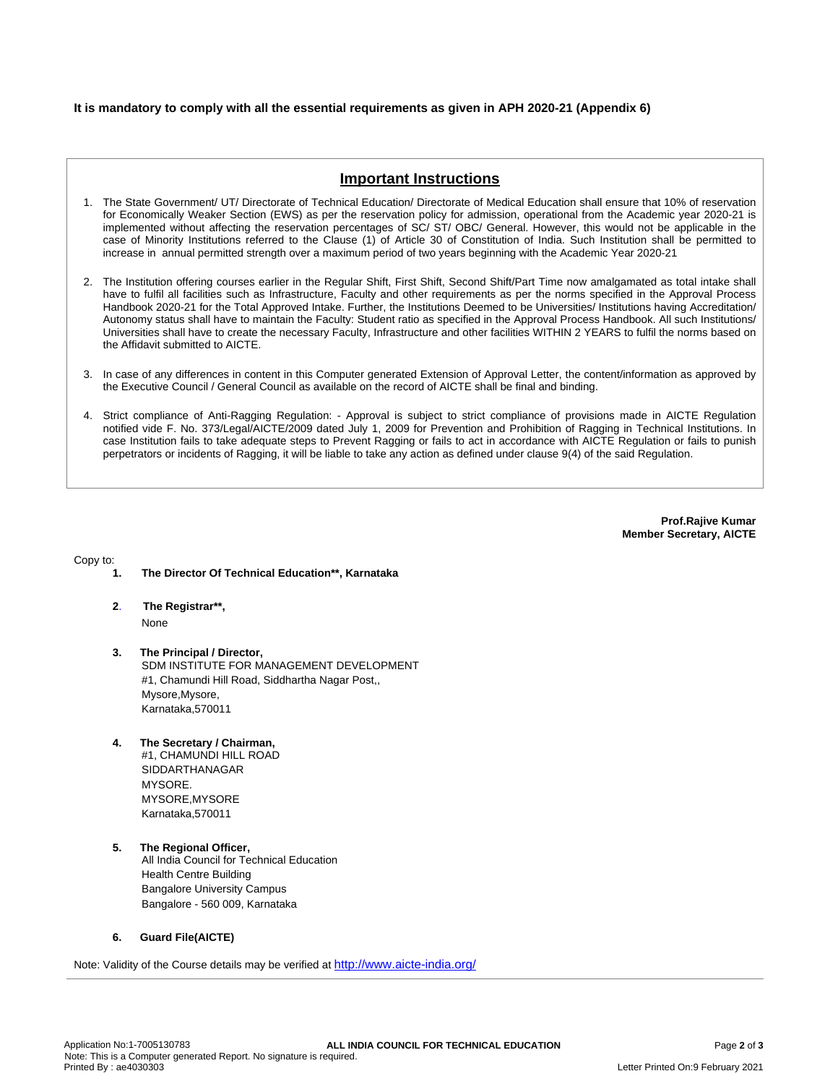## **It is mandatory to comply with all the essential requirements as given in APH 2020-21 (Appendix 6)**

# **Important Instructions**

- 1. The State Government/ UT/ Directorate of Technical Education/ Directorate of Medical Education shall ensure that 10% of reservation for Economically Weaker Section (EWS) as per the reservation policy for admission, operational from the Academic year 2020-21 is implemented without affecting the reservation percentages of SC/ ST/ OBC/ General. However, this would not be applicable in the case of Minority Institutions referred to the Clause (1) of Article 30 of Constitution of India. Such Institution shall be permitted to increase in annual permitted strength over a maximum period of two years beginning with the Academic Year 2020-21
- 2. The Institution offering courses earlier in the Regular Shift, First Shift, Second Shift/Part Time now amalgamated as total intake shall have to fulfil all facilities such as Infrastructure, Faculty and other requirements as per the norms specified in the Approval Process Handbook 2020-21 for the Total Approved Intake. Further, the Institutions Deemed to be Universities/ Institutions having Accreditation/ Autonomy status shall have to maintain the Faculty: Student ratio as specified in the Approval Process Handbook. All such Institutions/ Universities shall have to create the necessary Faculty, Infrastructure and other facilities WITHIN 2 YEARS to fulfil the norms based on the Affidavit submitted to AICTE.
- 3. In case of any differences in content in this Computer generated Extension of Approval Letter, the content/information as approved by the Executive Council / General Council as available on the record of AICTE shall be final and binding.
- 4. Strict compliance of Anti-Ragging Regulation: Approval is subject to strict compliance of provisions made in AICTE Regulation notified vide F. No. 373/Legal/AICTE/2009 dated July 1, 2009 for Prevention and Prohibition of Ragging in Technical Institutions. In case Institution fails to take adequate steps to Prevent Ragging or fails to act in accordance with AICTE Regulation or fails to punish perpetrators or incidents of Ragging, it will be liable to take any action as defined under clause 9(4) of the said Regulation.

**Prof.Rajive Kumar Member Secretary, AICTE**

Copy to:

- **1. The Director Of Technical Education\*\*, Karnataka**
- **2**. **The Registrar\*\*,** None
- **3. The Principal / Director,** SDM INSTITUTE FOR MANAGEMENT DEVELOPMENT #1, Chamundi Hill Road, Siddhartha Nagar Post,, Mysore,Mysore, Karnataka,570011
- **4. The Secretary / Chairman,** #1, CHAMUNDI HILL ROAD SIDDARTHANAGAR MYSORE. MYSORE,MYSORE Karnataka,570011
- **5. The Regional Officer,** All India Council for Technical Education Health Centre Building Bangalore University Campus Bangalore - 560 009, Karnataka

## **6. Guard File(AICTE)**

Note: Validity of the Course details may be verified at <http://www.aicte-india.org/>